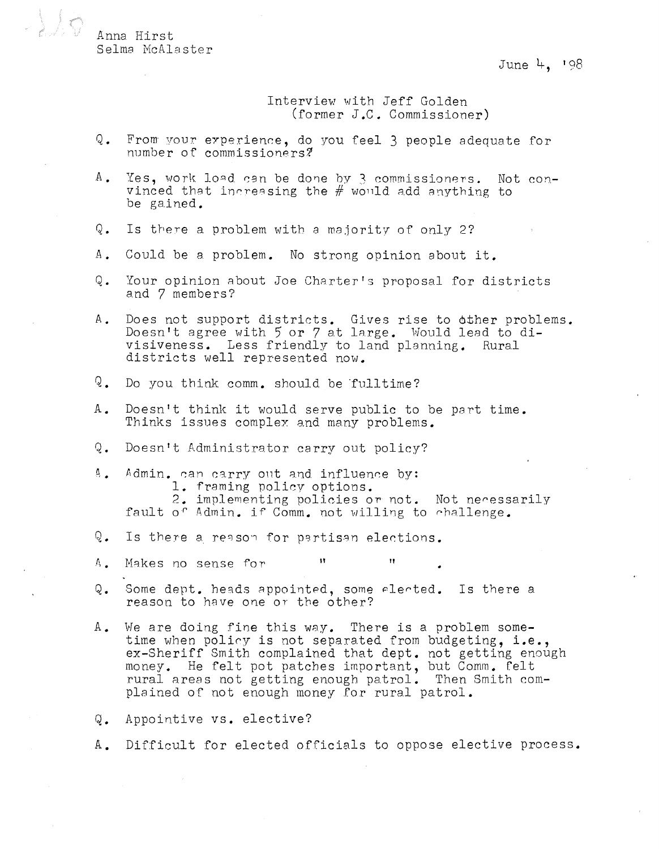Anna Hirst Selma McAlaster

June 4. 198

Interview with Jeff Golden (former J.C. Commissioner)

- $Q_{\bullet}$ From your experience, do you feel 3 people adequate for number of commissioners?
- Yes, work load can be done by 3 commissioners. Not con- $A$ . vinced that increasing the  $#$  would add anything to be gained.
- $\circ$ . Is there a problem with a majority of only 2?
- $A$ . Could be a problem. No strong opinion about it.
- Your opinion about Joe Charter's proposal for districts Q. and 7 members?
- Does not support districts. Gives rise to other problems. Α. Doesn't agree with 5 or 7 at large. Would lead to divisiveness. Less friendly to land planning. Rural districts well represented now.
- $Q_{\bullet}$ Do you think comm. should be fulltime?
- Doesn't think it would serve public to be part time.  $A_{\bullet}$ Thinks issues complex and many problems.
- Q. Doesn't Administrator carry out policy?
- $\mathfrak{g}_{\mathfrak{m}}$ Admin. can carry out and influence by: 1. framing policy options. 2. implementing policies or not. Not necessarily fault of Admin. if Comm. not willing to challenge.
- Q. Is there a reason for partisan elections.
- $\mathbf{H}$ Makes no sense for  $\Lambda$  .
- Q. Some dept. heads appointed, some elected. Is there a reason to have one or the other?
- We are doing fine this way. There is a problem some- $\mathbb{A}_{\bullet}$ time when policy is not separated from budgeting, i.e., ex-Sheriff Smith complained that dept. not getting enough money. He felt pot patches important, but Comm. Felt rural areas not getting enough patrol. Then Smith complained of not enough money for rural patrol.

 $\mathbf{H}$ 

- Appointive vs. elective?  $\mathsf{Q}$  .
- A. Difficult for elected officials to oppose elective process.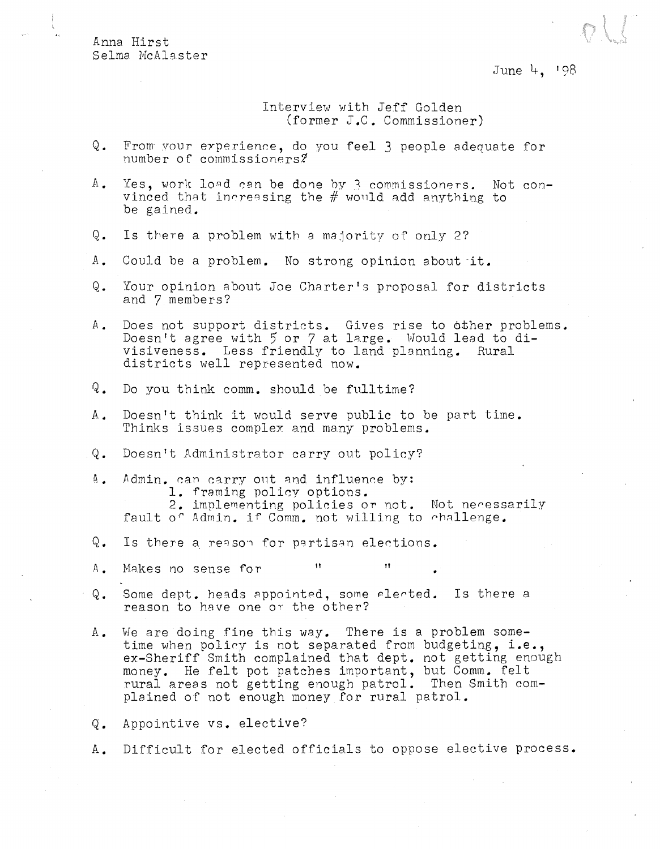Anna Hirst Selma McAlaster

June 4, '98

Interview with Jeff Golden (former J.C. Commissioner)

- Q. From your experience, do you feel 3 people adequate for number of commissioners?
- A. Yes, work load can be done by 3 commissioners. Not convinced that increasing the  $#$  would add anything to be gained.
- Q. Is there a problem with a majority of only 2?
- A. Could be a problem. No strong opinion about it.
- Q. Your opinion about Joe Charter's proposal for districts and 7 members?
- A. Does not support districts. Gives rise to 6ther problems. Doesn't agree with 5 or 7 at large. Would lead to divisiveness. Less friendly to land planning. Rural districts well represented now.
- Q. Do you think comm. should be fulltime?
- A. Doesn't think it would serve public to be part time. Thinks issues complex and many problems.
- Q. Doesn't Administrator carry out policy?
- A. Admin. can carry out and influence by: 1. framing policy options. 2. implementing policies or not. Not necessarily E. Implementing policies or not. Not heress.<br>.fault of Admin. if Comm. not willing to challenge.
- $Q.$  Is there a reason for partisan elections.
- A. Makes no sense for
- Q. Some dept. heads appointed, some elected. Is there a reason to have one or the other?
- A. We are doing fine this way. There is a problem sometime when poliry is not separated from budgeting, **i.e.,**  ex-Sheriff Smith complained that dept. not getting enough money. He felt pot patches important, but Comm. felt rural areas not getting enough patrol. Then Smith complained of not enough money for rural patrol.
- Q. Appointive vs. elective?
- A. Difficult for elected officials to oppose elective process.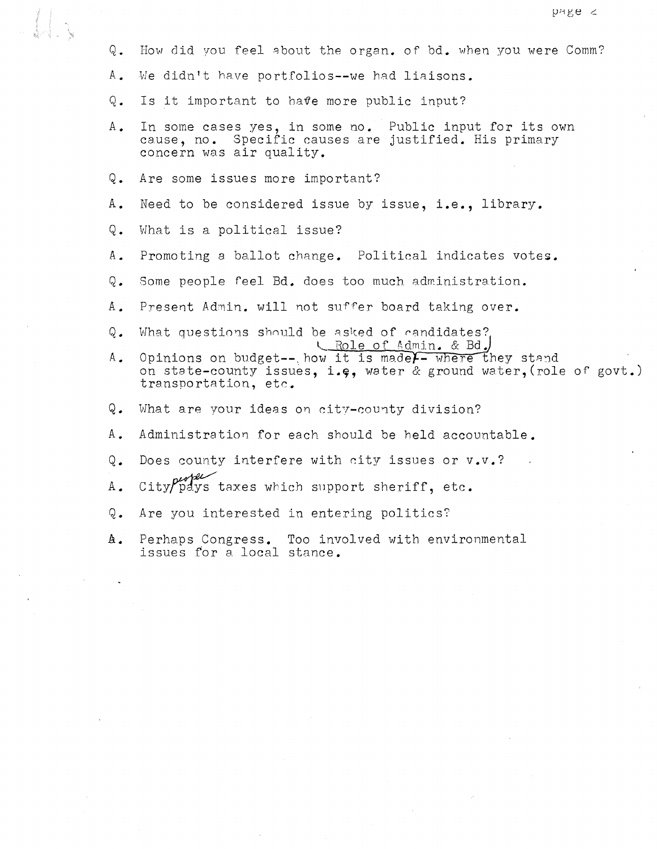- Q. How did vou feel about the organ. of bd. when you were Comm?
- A. We didn't have portfolios--we had liaisons.
- Q. Is it important to have more public input?
- A. In some cases yes, in some no. Public input for its own cause, no. Specific causes are justified. His primary concern was air quality.
- Q. Are some issues more important?
- A. Need to be considered issue by issue, **i.e.,** library.
- Q. What is a political issue?
- A. Promoting a ballot change. Political indicates votes.
- Q. Some people feel Bd. does too much administration.
- A. Present Admin. will not suffer board taking over.
- Q. What questions should be asked of candidates? L. Role of Admin. & Bd.
- A. Opinions on budget--, how it is madel- where they stand on state-county issues, i.e, water  $\&$  ground water, (role of govt.) transportation, etc.
- Q. What are your ideas on city-county division?
- A. Administration for each should be held accountable.
- Q. Does county interfere with city issues or v.v.?
- $A.$  City  $\rho_{\text{dys}}'$  taxes which support sheriff, etc.
- Q. Are you interested in entering politics?
- **A.** Perhaps Congress. Too involved with environmental issues for a local stance.